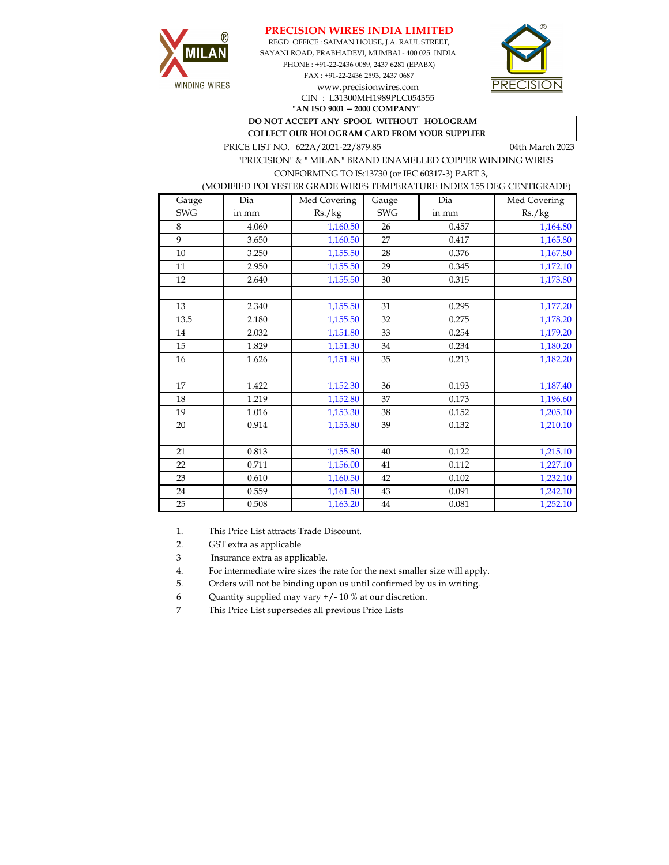





PHONE : +91-22-2436 0089, 2437 6281 (EPABX) FAX : +91-22-2436 2593, 2437 0687 www.precisionwires.com CIN : L31300MH1989PLC054355

**"AN ISO 9001 -- 2000 COMPANY"**

**DO NOT ACCEPT ANY SPOOL WITHOUT HOLOGRAM COLLECT OUR HOLOGRAM CARD FROM YOUR SUPPLIER** 

PRICE LIST NO. 622A/2021-22/879.85 04th March 2023

 "PRECISION" & " MILAN" BRAND ENAMELLED COPPER WINDING WIRES CONFORMING TO IS:13730 (or IEC 60317-3) PART 3,

(MODIFIED POLYESTER GRADE WIRES TEMPERATURE INDEX 155 DEG CENTIGRADE)

| Gauge      | Dia   | Med Covering | Gauge      | Dia   | Med Covering |
|------------|-------|--------------|------------|-------|--------------|
| <b>SWG</b> | in mm | Rs./kg       | <b>SWG</b> | in mm | Rs./kg       |
| 8          | 4.060 | 1,160.50     | 26         | 0.457 | 1,164.80     |
| 9          | 3.650 | 1,160.50     | 27         | 0.417 | 1,165.80     |
| $10\,$     | 3.250 | 1,155.50     | 28         | 0.376 | 1,167.80     |
| 11         | 2.950 | 1,155.50     | 29         | 0.345 | 1,172.10     |
| 12         | 2.640 | 1,155.50     | 30         | 0.315 | 1,173.80     |
|            |       |              |            |       |              |
| 13         | 2.340 | 1,155.50     | 31         | 0.295 | 1,177.20     |
| 13.5       | 2.180 | 1,155.50     | 32         | 0.275 | 1,178.20     |
| 14         | 2.032 | 1,151.80     | 33         | 0.254 | 1,179.20     |
| 15         | 1.829 | 1,151.30     | 34         | 0.234 | 1,180.20     |
| 16         | 1.626 | 1,151.80     | 35         | 0.213 | 1,182.20     |
|            |       |              |            |       |              |
| 17         | 1.422 | 1,152.30     | 36         | 0.193 | 1,187.40     |
| 18         | 1.219 | 1,152.80     | 37         | 0.173 | 1,196.60     |
| 19         | 1.016 | 1,153.30     | 38         | 0.152 | 1,205.10     |
| 20         | 0.914 | 1,153.80     | 39         | 0.132 | 1,210.10     |
|            |       |              |            |       |              |
| 21         | 0.813 | 1,155.50     | 40         | 0.122 | 1,215.10     |
| 22         | 0.711 | 1,156.00     | 41         | 0.112 | 1,227.10     |
| 23         | 0.610 | 1,160.50     | 42         | 0.102 | 1,232.10     |
| 24         | 0.559 | 1,161.50     | 43         | 0.091 | 1,242.10     |
| 25         | 0.508 | 1,163.20     | 44         | 0.081 | 1,252.10     |

1. This Price List attracts Trade Discount.

2. GST extra as applicable

3 Insurance extra as applicable.

4. For intermediate wire sizes the rate for the next smaller size will apply.

5. Orders will not be binding upon us until confirmed by us in writing.

6 Quantity supplied may vary +/- 10 % at our discretion.

7 This Price List supersedes all previous Price Lists